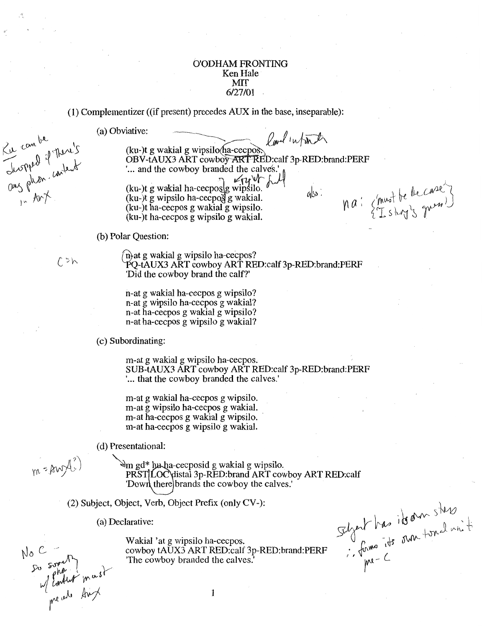# O'ODHAM FRONTING Ken Hale **MIT** 6/27/01

(1) Complementizer ((if present) precedes AUX in the base, inseparable):

(a) Obviative:  $\theta_{\text{adv}}/i \sqrt{\ln \lambda}$ (ku-)t g wakial g wipsilo ha-cecpos. OBV-tAUX3 ART cowboy ART RED:calf 3p-RED:brand:PERF "... and the cowboy branded the calves." na: {must be the case?} (ku-)t g wakial ha-cecpos $\left[$ g wipsilo.  $^{\prime\prime}$ alss:  $(ku-)$ t g wipsilo ha-cecpos g wakial. (ku-)t ha-cecpos g wakial g wipsilo. (ku-)t ha-cecpos g wipsilo g wakial.

(b) Polar Question:

Ku combe<br>Luspped if There's<br>Ong phon. content

(i) at g wakial g wipsilo ha-cecpos?<br>PQ-tAUX3 ART cowboy ART RED:calf 3p-RED:brand:PERF 'Did the cowboy brand the calf?'

> n-at g wakial ha-cecpos g wipsilo? n-at g wipsilo ha-cecpos g wakial? n-at ha-cecpos g wakial g wipsilo? n-at ha-cecpos g wipsilo g wakial?

( c) Subordinating:

m-at g wakial g wipsilo ha-cecpos. SUB-tAUX3 ART cowboy ART RED:calf 3p-RED:brand:PERF '... that the cowboy branded the calves.'

m-at g wakial ha-cecpos g wipsilo. m-at g wipsilo ha-cecpos g wakial. m-at ha-cecpos g wakial g wipsilo. m-at ha-cecpos g wipsilo g wakial.

(d) Presentational:

~m gd\*@j-cecposid g wakial g wipsilo, PRST LOC distal 3p-RED: brand ART cowboy ART RED: calf 'Down there brands the cowboy the calves.'

(2) Subject, Object, Verb, Object Prefix (only CV-):

(a) Declarative:

Scheit has its om sters Wakial 'at g wipsilo ha-cecpos. cowboy tAUX3 ART RED:calf 3p-RED:brand:PERF 'The cowboy branded the calves.'

1

No C Jo somethy<br>So somethy must

m=Awli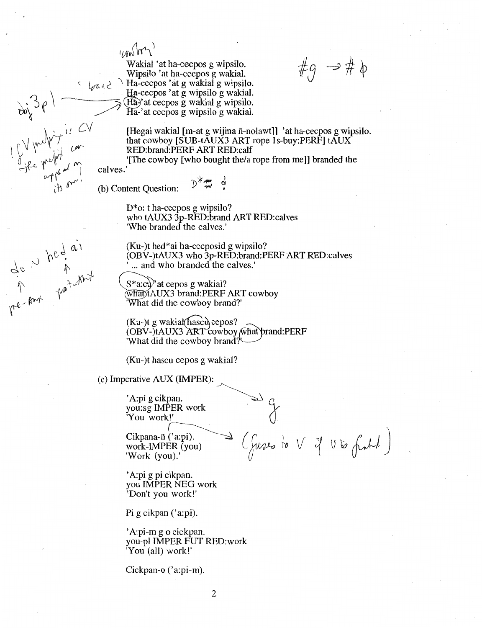$100$ 

Wakial 'at ha-cecpos g wipsilo. Wipsilo 'at ha-cecpos g wakial.  $\left\{ \begin{array}{c} \n\sqrt{a_1} & \sqrt{a_2} \\ \n\end{array} \right\}$  Ha-cecpos 'at g wakial g wipsilo.

Ha-cecpos 'at g wipsilo g wakial.  $(H<sub>a</sub>)$ <sup>2</sup> at cecpos g wakial g wipsilo.  $\overline{Ha}$ -'at cecpos g wipsilo g wakial.  $#q \rightarrow # \phi$ 

[Hegai wakial [m-at g wijina fi-nolawt]] 'at ha-cecpos g wipsilo. that cowboy [SUB-tAUX3 ART rope 1s-buy:PERF] tAUX RED:brand:PERF ART RED:calf

'[The cowboy [who bought the/a rope from me]] branded the calves.'

(b) Content Question:

~

me and they are<br>an hed as

D\*o: t ha-cecpos g wipsilo? who tAUX3 3p-RED:brand ART RED:calves 'Who branded the calves.'

(Ku-)t hed\*ai ha-cecposid g wipsilo? (OBV-)tAUX3 who 3p-RED:brand:PERF ART RED:calves ... and who branded the calves.'

 $S^*$ a:cù)' at cepos g wakial? what tAUX3 brand: PERF ART cowboy What did the cowboy brand?'

 $(Ku-)$ t g wakial(hascul cepos? (OBV-)tAUX3 ART cowboy (what prand:PERF 'What did the cowboy brand?

(Ku-)t hascu cepos g wakial?

 $(c)$  Imperative AUX (IMPER):

'A:pi g cikpan. you:sg IMPER work 'You work!'  $r$ 

work-IMPER (you) 'Work (you).'

 $\begin{array}{ccc}\n\text{Cikpana-ñ ('a:pi).} & \longrightarrow & (\text{fugro } & \vee & \vee & \vee & \wedge & \text{fwd'}\n\end{array}$ 

'A:pi g pi cikpan. you IMPER NEG work 'Don't you work!'

Pi g cikpan ('a:pi).

'A:pi-m go cickpan. you-pl IMPER FUT RED:work 'You (all) work!'

Cickpan-o ('a:pi-m).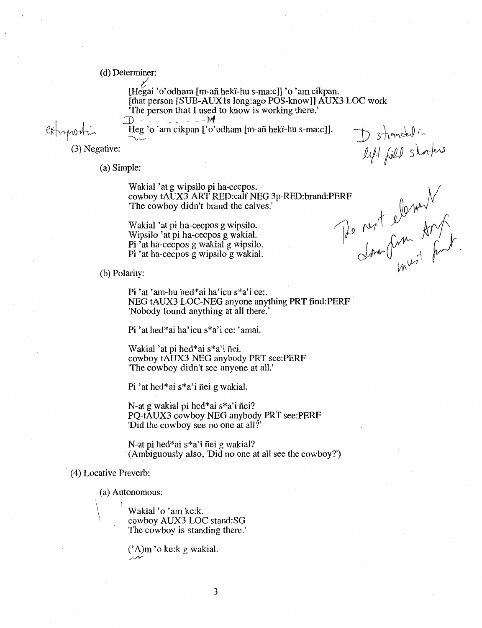(d) Determiner:

*t!*  [Hegai 'o'odham [m-afi hek'i-hu s-ma:c]] 'o 'am cikpan. [that person [SUB-AUX1s long:ago POS-know]] AUX3 LOC work 'The person that I used to know is working there.'  $D$   $\sim$  -  $\sim$  -  $\sim$   $M$ 

extrapportion

(3) Negative:

(a) Simple:

 $\sim$ 

pie.<br>Wakial 'at g wipsilo pi ha-cecpos.<br>cowboy tAUX3 APT PED:calf NEG 3n-RED:brand:PERE \_\_\_\_\_\_\_\_\_\_\_\_\_\_\_\_\_\_\_\_\_\_\_\_\_\_\_\_\_\_\_\_ wakial at g wipsho prina-cecpos.<br>
cowboy tAUX3 ART RED:calf NEG 3p-RED:brand:PERF<br>
"The cowboy didn't brand the calves."<br>
Wakial 'at pi ha-cecpos g wipsilo.<br>
Winsilo 'at pi ha-cecpos g wakial

Heg 'o 'am cikpan ['o'odham [m-afi hek'i-hu s-ma:c]].

Wakial 'at pi ha-cecpos g wipsilo.<br>Wipsilo 'at pi ha-cecpos g wakial.<br>Pi 'at ha-cecpos g wakial g wipsilo. Pi 'at ha-cecpos g wakial g wipsilo.<br>Pi 'at ha-cecpos g wakial g wipsilo.<br>Pi 'at ha-cecpos g wipsilo g wakial.

D stranchal in

 $\mathcal{W}^{\nu}$ 

(b) Polarity:

Pi 'at 'am-hu hed\*ai ha'icu s\*a'i ce:. NEG tAUX3 LOC-NEG anyone anything PRT find:PERF 'Nobody found anything at all there.'

Pi 'at hed\*ai ha'icu s\*a'i ce: 'amai.

Wakial 'at pi hed\*ai s\*a'i fiei. cowboy tAUX3 NEG anybody PRT see:PERF 'The cowboy didn't see anyone at all.'

Pi 'at hed\*ai s\*a'i fiei g wakial.

N-at g wakial pi hed\*ai s\*a'i fiei? PQ-tAUX3 cowboy NEG anybody PRT see:PERF 'Did the cowboy see no one at all?'

N-at pi hed\*ai s\*a'i fiei g wakial? (Ambiguously also, 'Did no one at all see the cowboy?')

(4) Locative Preverb:

(a) Autonomous:<br>  $\longrightarrow$  Wakial 'o 'am ke:k. cowboy AUX3 LOC stand:SG The cowboy is standing there.'

> (' A)m 'o ke:k g wakial. *r/Y*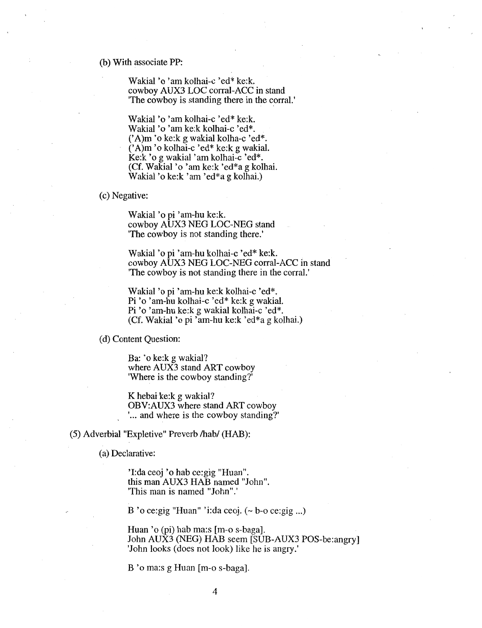### (b) With associate PP:

Wakial 'o 'am kolhai-c 'ed\* ke:k. cowboy AUX3 LOC corral-ACC in stand The cowboy is standing there in the corral.'

Wakial 'o 'am kolhai-c 'ed\* ke:k. Wakial 'o 'am ke:k kolhai-c 'ed\*. (' A)m 'o ke:k g wakial kolha-c 'ed\*. (' A)m 'o kolhai-c 'ed\* ke:k g wakial. Ke:k 'o g wakial 'am kolhai-c 'ed\*. (Cf. Wakial 'o 'am ke:k 'ed\*a g kolhai. Wakial 'o ke:k 'am 'ed\*a g kolhai.)

# (c) Negative:

Wakial 'o pi 'am-hu ke:k. cowboy AUX3 NEG LOC-NEG stand 'The cowboy is not standing there.'

Wakial 'o pi 'am-hu kolhai-c 'ed\* ke:k. cowboy AUX3 NEG LOC-NEG corral-ACC in stand 'The cowboy is not standing there in the corral.'

Wakial 'o pi 'am-hu ke:k kolhai-c 'ed\*. Pi 'o 'am-hu kolhai-c 'ed\* ke:k g wakial. Pi 'o 'am-hu ke:k g wakial kolhai-c 'ed\*. (Cf. Wakial 'o pi 'am-hu ke:k 'ed\*a g kolhai.)

(d) Content Question:

Ba: 'o ke:k g wakial? where AUX3 stand ART cowboy 'Where is the cowboy standing?'

K hebai ke:k g wakial? OBV:AUX3 where stand ART cowboy ... and where is the cowboy standing?'

(5) Adverbial "Expletive" Preverb /hab/ (HAB):

(a) Declarative:

'I:da ceoj 'o hab ce:gig "Huan". this man AUX3 HAB named "John". 'This man is named "John".'

B 'o ce: gig "Huan" 'i: da ceoj.  $(-b$ -o ce: gig ...)

Huan 'o (pi) hab ma:s [m-o s-baga]. John AUX3 (NEG) HAB seem [SUB-AUX3 POS-be:angry] 'John looks (does not look) like he is angry.'

B 'o ma:s g Huan [m-o s-baga].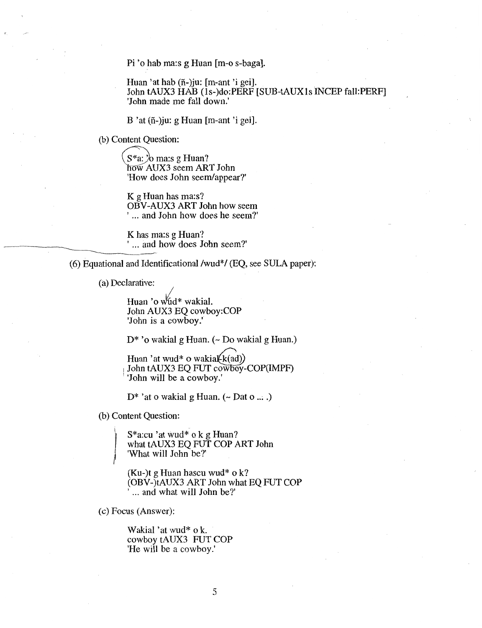Pi 'o hab ma:s g Huan [m-o s-baga].

Huan 'at hab (ñ-)ju: [m-ant 'i gei]. John tAUX3 HAB (ls-)do:PERF [SUB-tAUXls INCEP fall:PERF] 'John made me fall down.'

B 'at (ñ-)ju: g Huan [m-ant 'i gei].

(b) Content Question:

 $S^*a$ :  $\&$ o ma:s g Huan? now AUX3 seem ART John 'How does John seem/appear?'

K g Huan has ma:s? OBV-AUX3 ART John how seem ' ... and John how does he seem?'

K has ma:s g Huan? '... and how does John seem?'

(6) Equational and Identificational /wud\*/ (EQ, see SULA paper):

(a) Declarative:

Huan 'o wud\* wakial. John AUX3 EQ cowboy:COP 'John is a cowboy.'

 $D^*$  'o wakial g Huan. (~ Do wakial g Huan.)

Huan 'at wud\* o wakial(k(ad)) 1 John tAUX3 EQ FUT cowboy-COP(IMPF) 'John will be a cowboy.'

 $D^*$  'at o wakial g Huan. (~ Dat o ... .)

(b) Content Question:

)<br>)

S\*a:cu 'at wud\* o k g Huan? what tAUX3 EQ FUT COP ART John 'What will John be?'

(Ku-)t g Huan hascu wud\*  $\alpha$  k? (OBV-)tAUX3 ART John what EQ FUT COP ... and what will John be?'

(c) Focus (Answer):

Wakial 'at wud\* o k. cowboy tAUX3 FUT COP 'He will be a cowboy.'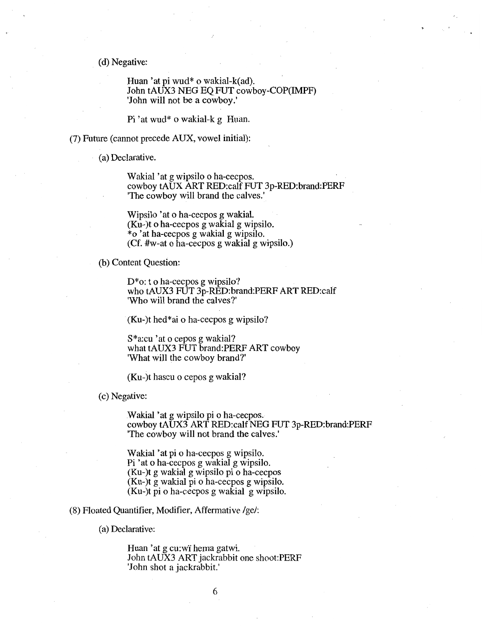(d) Negative:

Huan 'at pi wud\* o wakial-k(ad). John tAUX3 NEG EQ FUT cowboy-COP(IMPF) 'John will not be a cowboy.'

Pi 'at wud\* o wakial-k g Huan.

(7) Future (cannot precede AUX, vowel initial):

(a) Declarative.

Wakial 'at g wipsilo o ha-cecpos. cowboy tAUX ART RED:calf FUT 3p-RED:brand:PERF 'The cowboy will brand the calves.'

Wipsilo 'at o ha-cecpos g wakial. (Ku-)t o ha-cecpos g wakial g wipsilo. \*o 'at ha-cecpos g wakial g wipsilo. (Cf. #w-at o ha-cecpos g wakial g wipsilo.)

(b) Content Question:

D\*o: to ha-cecpos g wipsilo? who tAUX3 FUT 3p-RED:brand:PERF ART RED:calf 'Who will brand the calves?'

(Ku-)t hed\*ai o ha-cecpos g wipsilo?

S\*a:cu 'at o cepos g wakial? what tAUX3 FUT brand:PERF ART cowboy 'What will the cowboy brand?'

(Ku-)t hascu o cepos g wakial?

(c) Negative:

Wakial 'at g wipsilo pi o ha-cecpos. cowboy tAUX3 ART RED:calf NEG FUT 3p-RED:brand:PERF 'The cowboy will not brand the calves.'

Wakial 'at pi o ha-cecpos g wipsilo. Pi 'at o ha-cecpos g wakial g wipsilo. (Ku-)t g wakial g wipsilo pi o ha-cecpos (Ku-)t g wakial pi o ha-cecpos g wipsilo. (Ku-)t pi o ha-cecpos g wakial g wipsilo.

(8) Floated Quantifier, Modifier, Affermative /ge/:

(a) Declarative:

Huan 'at g cu:wi hema gatwi. John tAUX3 ART jackrabbit one shoot:PERF 'John shot a jackrabbit.'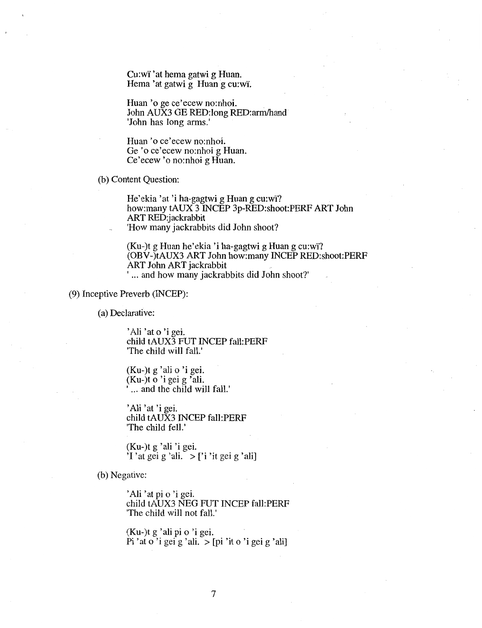Cu:wi' 'at hema gatwi g Huan. Hema 'at gatwi g Huan g cu:wi.

Huan 'o ge ce'ecew no:nhoi. . John AUX3 GE RED:long RED:arm/hand 'John has long arms.'

Huan 'o ce'ecew no:nhoi. Ge 'o ce'ecew no:nhoi g Huan. Ce'ecew 'o no:nhoi g Huan.

(b) Content Question:

He'ekia 'at 'i ha-gagtwi g Huan g cu:wi? how:many tAUX 3 INCEP 3p-RED:shoot:PERF ART John ART RED:jackrabbit 'How many jackrabbits did John shoot?

(Ku-)t g Huan he'ekia 'i ha-gagtwi g Huang cu:wi'? (OBV-)tAUX3 ART John how:many INCEP RED:shoot:PERF ART John ART jackrabbit ' ... and how many jackrabbits did John shoot?'

(9) Inceptive Preverb (INCEP):

(a) Declarative:

'Ali 'at o 'i gei. child tAUX3 FUT INCEP fall:PERF 'The child will fall.'

(Ku-)t g 'ali o 'i gei. (Ku-)t o 'i gei g 'ali. ... and the child will fall.'

'Ali 'at 'i gei. child tAUX3 INCEP fall:PERF 'The child fell.'

(Ku-)t g 'ali 'i gei. 'I 'at gei g 'ali.  $>$  ['i 'it gei g 'ali]

(b) Negative:

'Ali 'at pi o 'i gei. child tAUX3 NEG FUT INCEP fall:PERF 'The child will not fall.'

(Ku-)t g 'ali pi o 'i gei. Pi 'at o 'i gei g 'ali.  $>[pi]$ 'it o 'i gei g 'ali]